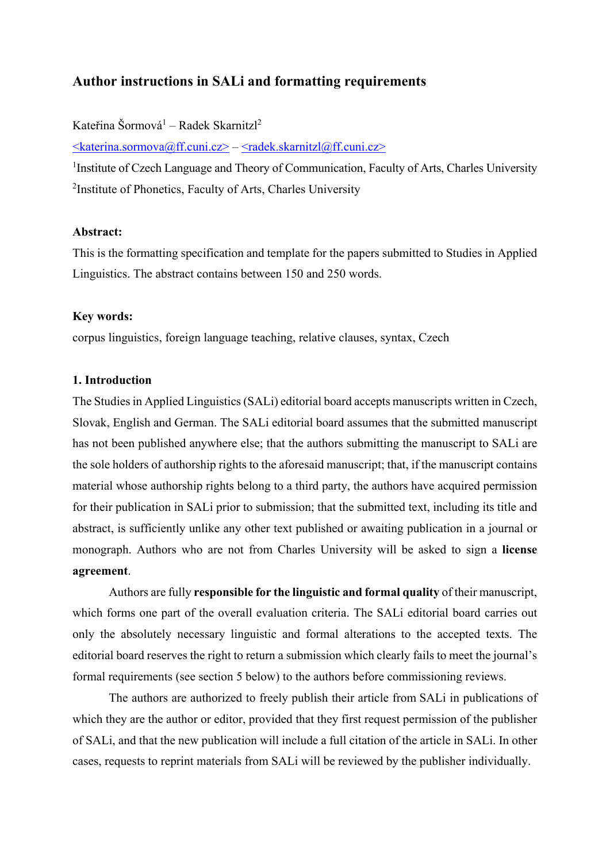# **Author instructions in SALi and formatting requirements**

Kateřina Šormová<sup>1</sup> – Radek Skarnitzl<sup>2</sup>

 $\leq$ katerina.sormova@ff.cuni.cz> –  $\leq$ radek.skarnitzl@ff.cuni.cz>

<sup>1</sup>Institute of Czech Language and Theory of Communication, Faculty of Arts, Charles University <sup>2</sup>Institute of Phonetics, Faculty of Arts, Charles University

### **Abstract:**

This is the formatting specification and template for the papers submitted to Studies in Applied Linguistics. The abstract contains between 150 and 250 words.

#### **Key words:**

corpus linguistics, foreign language teaching, relative clauses, syntax, Czech

### **1. Introduction**

The Studies in Applied Linguistics (SALi) editorial board accepts manuscripts written in Czech, Slovak, English and German. The SALi editorial board assumes that the submitted manuscript has not been published anywhere else; that the authors submitting the manuscript to SALi are the sole holders of authorship rights to the aforesaid manuscript; that, if the manuscript contains material whose authorship rights belong to a third party, the authors have acquired permission for their publication in SALi prior to submission; that the submitted text, including its title and abstract, is sufficiently unlike any other text published or awaiting publication in a journal or monograph. Authors who are not from Charles University will be asked to sign a **license agreement**.

Authors are fully **responsible for the linguistic and formal quality** of their manuscript, which forms one part of the overall evaluation criteria. The SALi editorial board carries out only the absolutely necessary linguistic and formal alterations to the accepted texts. The editorial board reserves the right to return a submission which clearly fails to meet the journal's formal requirements (see section 5 below) to the authors before commissioning reviews.

The authors are authorized to freely publish their article from SALi in publications of which they are the author or editor, provided that they first request permission of the publisher of SALi, and that the new publication will include a full citation of the article in SALi. In other cases, requests to reprint materials from SALi will be reviewed by the publisher individually.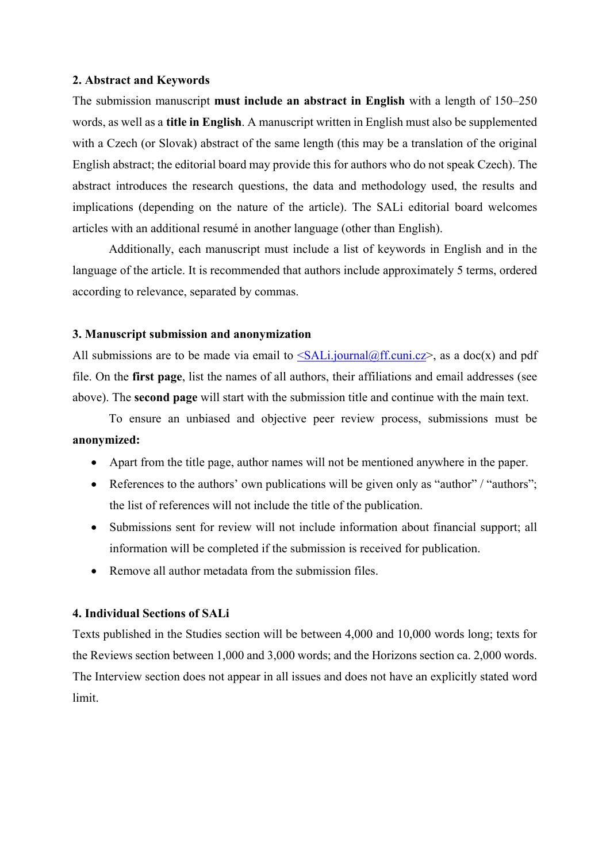#### **2. Abstract and Keywords**

The submission manuscript **must include an abstract in English** with a length of 150–250 words, as well as a **title in English**. A manuscript written in English must also be supplemented with a Czech (or Slovak) abstract of the same length (this may be a translation of the original English abstract; the editorial board may provide this for authors who do not speak Czech). The abstract introduces the research questions, the data and methodology used, the results and implications (depending on the nature of the article). The SALi editorial board welcomes articles with an additional resumé in another language (other than English).

 Additionally, each manuscript must include a list of keywords in English and in the language of the article. It is recommended that authors include approximately 5 terms, ordered according to relevance, separated by commas.

#### **3. Manuscript submission and anonymization**

All submissions are to be made via email to  $\leq$ SALi.journal@ff.cuni.cz>, as a doc(x) and pdf file. On the **first page**, list the names of all authors, their affiliations and email addresses (see above). The **second page** will start with the submission title and continue with the main text.

To ensure an unbiased and objective peer review process, submissions must be **anonymized:**

- Apart from the title page, author names will not be mentioned anywhere in the paper.
- References to the authors' own publications will be given only as "author" / "authors"; the list of references will not include the title of the publication.
- Submissions sent for review will not include information about financial support; all information will be completed if the submission is received for publication.
- Remove all author metadata from the submission files.

### **4. Individual Sections of SALi**

Texts published in the Studies section will be between 4,000 and 10,000 words long; texts for the Reviews section between 1,000 and 3,000 words; and the Horizons section ca. 2,000 words. The Interview section does not appear in all issues and does not have an explicitly stated word limit.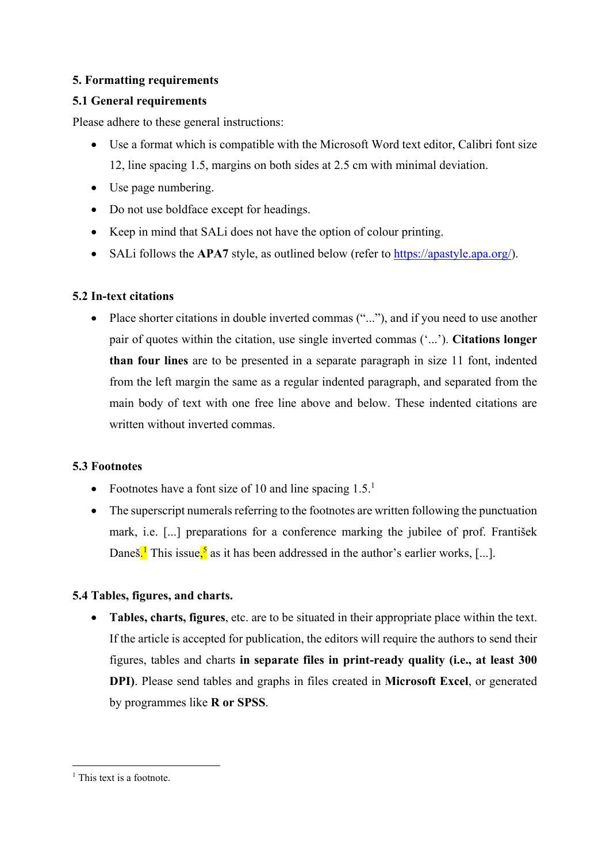## **5. Formatting requirements**

## **5.1 General requirements**

Please adhere to these general instructions:

- Use a format which is compatible with the Microsoft Word text editor, Calibri font size 12, line spacing 1.5, margins on both sides at 2.5 cm with minimal deviation.
- Use page numbering.
- Do not use boldface except for headings.
- Keep in mind that SAL does not have the option of colour printing.
- SALi follows the **APA7** style, as outlined below (refer to https://apastyle.apa.org/).

### **5.2 In-text citations**

• Place shorter citations in double inverted commas ("..."), and if you need to use another pair of quotes within the citation, use single inverted commas ('...'). **Citations longer than four lines** are to be presented in a separate paragraph in size 11 font, indented from the left margin the same as a regular indented paragraph, and separated from the main body of text with one free line above and below. These indented citations are written without inverted commas.

## **5.3 Footnotes**

- Footnotes have a font size of 10 and line spacing  $1.5<sup>1</sup>$
- The superscript numerals referring to the footnotes are written following the punctuation mark, i.e. [...] preparations for a conference marking the jubilee of prof. František Daneš.<sup>1</sup> This issue,<sup>5</sup> as it has been addressed in the author's earlier works, [...].

## **5.4 Tables, figures, and charts.**

 **Tables, charts, figures**, etc. are to be situated in their appropriate place within the text. If the article is accepted for publication, the editors will require the authors to send their figures, tables and charts **in separate files in print-ready quality (i.e., at least 300 DPI)**. Please send tables and graphs in files created in **Microsoft Excel**, or generated by programmes like **R or SPSS**.

1

<sup>&</sup>lt;sup>1</sup> This text is a footnote.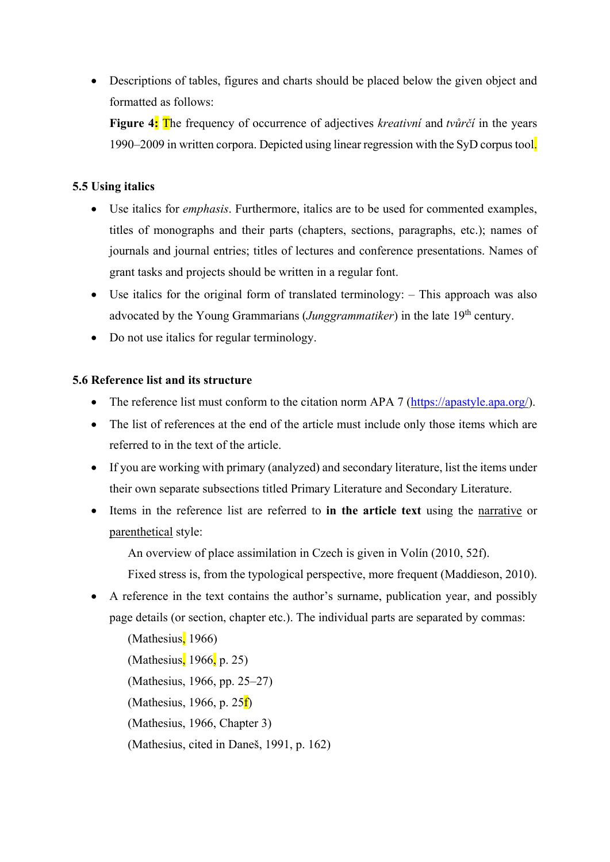Descriptions of tables, figures and charts should be placed below the given object and formatted as follows:

**Figure 4:** The frequency of occurrence of adjectives *kreativní* and *tvůrčí* in the years 1990–2009 in written corpora. Depicted using linear regression with the SyD corpus tool.

## **5.5 Using italics**

- Use italics for *emphasis*. Furthermore, italics are to be used for commented examples, titles of monographs and their parts (chapters, sections, paragraphs, etc.); names of journals and journal entries; titles of lectures and conference presentations. Names of grant tasks and projects should be written in a regular font.
- Use italics for the original form of translated terminology: This approach was also advocated by the Young Grammarians (*Junggrammatiker*) in the late 19<sup>th</sup> century.
- Do not use italics for regular terminology.

# **5.6 Reference list and its structure**

- The reference list must conform to the citation norm APA 7 (https://apastyle.apa.org/).
- The list of references at the end of the article must include only those items which are referred to in the text of the article.
- If you are working with primary (analyzed) and secondary literature, list the items under their own separate subsections titled Primary Literature and Secondary Literature.
- Items in the reference list are referred to **in the article text** using the narrative or parenthetical style:

An overview of place assimilation in Czech is given in Volín (2010, 52f).

Fixed stress is, from the typological perspective, more frequent (Maddieson, 2010).

- A reference in the text contains the author's surname, publication year, and possibly page details (or section, chapter etc.). The individual parts are separated by commas:
	- (Mathesius, 1966) (Mathesius, 1966, p. 25) (Mathesius, 1966, pp. 25–27) (Mathesius, 1966, p. 25f) (Mathesius, 1966, Chapter 3) (Mathesius, cited in Daneš, 1991, p. 162)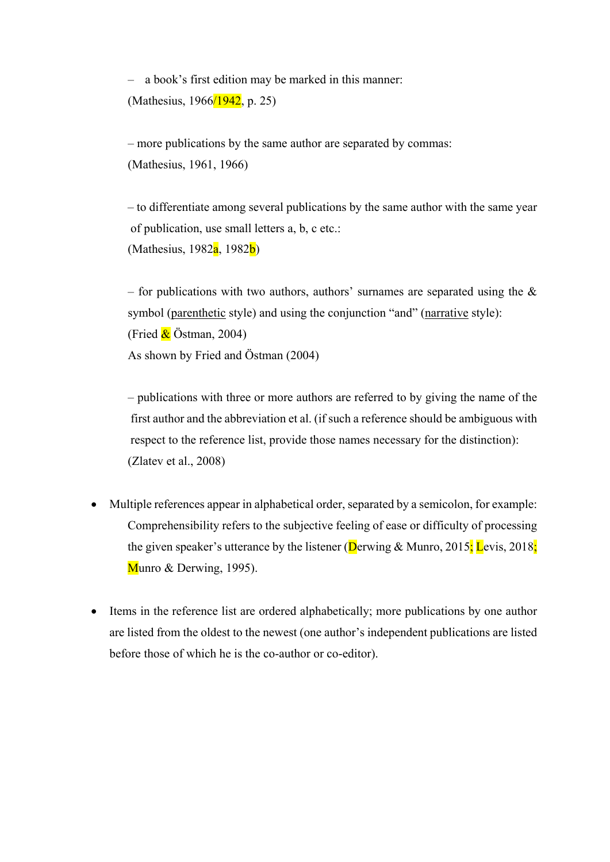– a book's first edition may be marked in this manner: (Mathesius, 1966/1942, p. 25)

– more publications by the same author are separated by commas: (Mathesius, 1961, 1966)

– to differentiate among several publications by the same author with the same year of publication, use small letters a, b, c etc.: (Mathesius, 1982 $a$ , 1982 $b$ )

– for publications with two authors, authors' surnames are separated using the  $\&$ symbol (parenthetic style) and using the conjunction "and" (narrative style): (Fried  $\&$  Östman, 2004) As shown by Fried and Östman (2004)

– publications with three or more authors are referred to by giving the name of the first author and the abbreviation et al. (if such a reference should be ambiguous with respect to the reference list, provide those names necessary for the distinction): (Zlatev et al., 2008)

- Multiple references appear in alphabetical order, separated by a semicolon, for example: Comprehensibility refers to the subjective feeling of ease or difficulty of processing the given speaker's utterance by the listener (Derwing & Munro, 2015; Levis, 2018; Munro & Derwing, 1995).
- Items in the reference list are ordered alphabetically; more publications by one author are listed from the oldest to the newest (one author's independent publications are listed before those of which he is the co-author or co-editor).